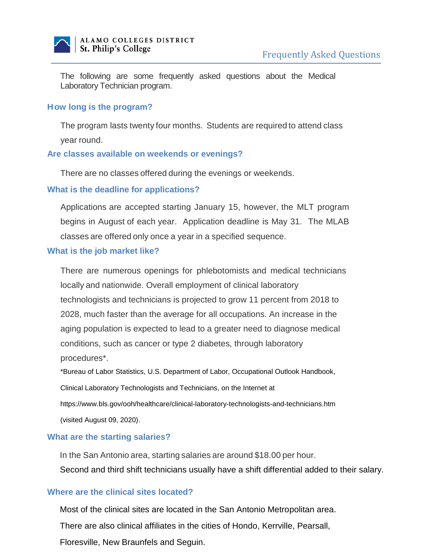

The following are some frequently asked questions about the Medical Laboratory Technician program.

#### **H ow long is the program?**

The program lasts twenty four months. Students are required to attend class year round.

#### **Are classes available on weekends or evenings?**

There are no classes offered during the evenings or weekends.

#### **What is the deadline for applications?**

Applications are accepted starting January 15, however, the MLT program begins in August of each year. Application deadline is May 31. The MLAB classes are offered only once a year in a specified sequence.

#### **What is the job market like?**

There are numerous openings for phlebotomists and medical technicians locally and nationwide. Overall employment of clinical laboratory technologists and technicians is projected to grow 11 percent from 2018 to 2028, much faster than the average for all occupations. An increase in the aging population is expected to lead to a greater need to diagnose medical conditions, such as cancer or type 2 diabetes, through laboratory procedures\*.

\*Bureau of Labor Statistics, U.S. Department of Labor, Occupational Outlook Handbook,

Clinical Laboratory Technologists and Technicians, on the Internet at

https://www.bls.gov/ooh/healthcare/clinical-laboratory-technologists-and-technicians.htm

(visited August 09, 2020).

## **What are the starting salaries?**

In the San Antonio area, starting salaries are around \$18.00 per hour. Second and third shift technicians usually have a shift differential added to their salary.

## **Where are the clinical sites located?**

Most of the clinical sites are located in the San Antonio Metropolitan area.

There are also clinical affiliates in the cities of Hondo, Kerrville, Pearsall,

Floresville, New Braunfels and Seguin.